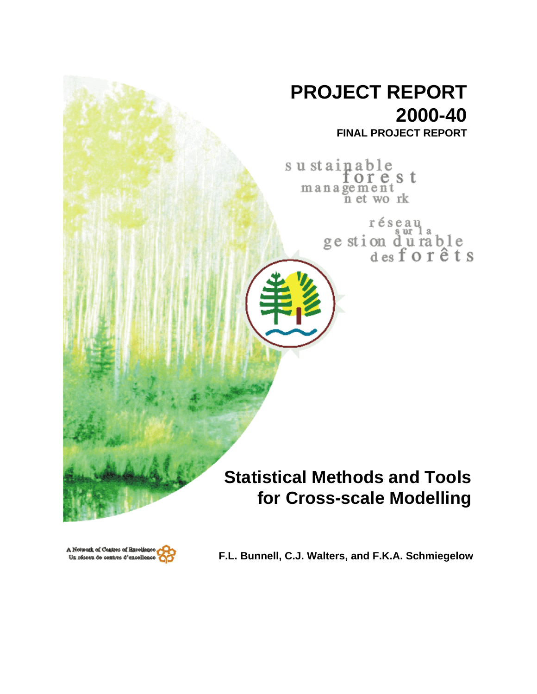



**F.L. Bunnell, C.J. Walters, and F.K.A. Schmiegelow**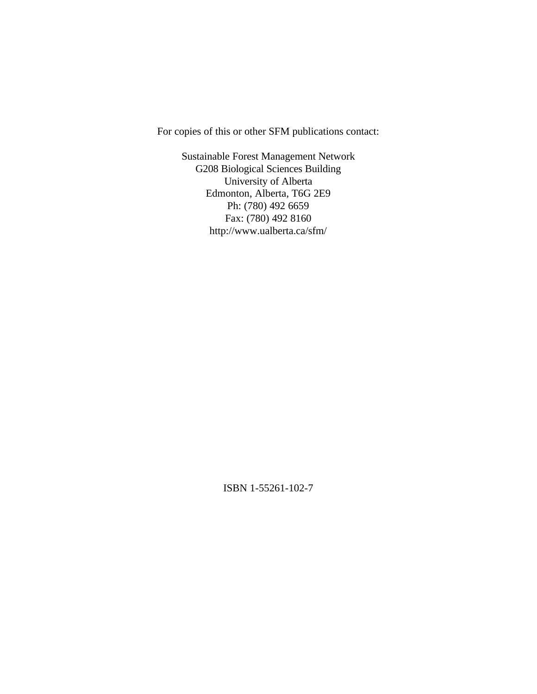For copies of this or other SFM publications contact:

Sustainable Forest Management Network G208 Biological Sciences Building University of Alberta Edmonton, Alberta, T6G 2E9 Ph: (780) 492 6659 Fax: (780) 492 8160 http://www.ualberta.ca/sfm/

ISBN 1-55261-102-7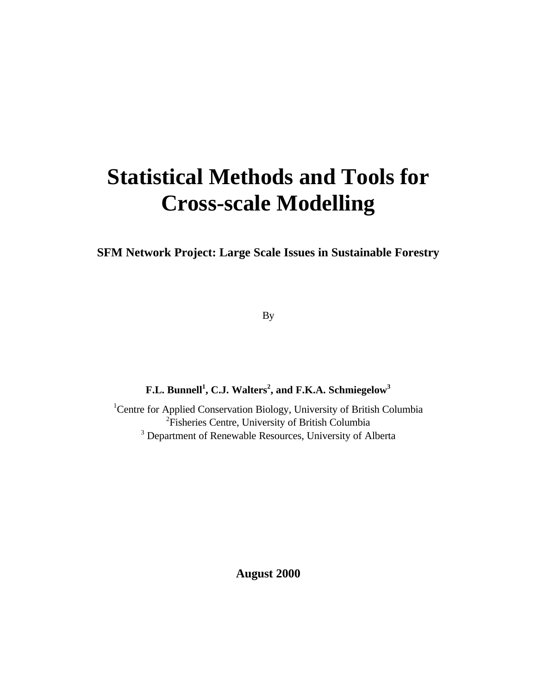# **Statistical Methods and Tools for Cross-scale Modelling**

**SFM Network Project: Large Scale Issues in Sustainable Forestry**

By

**F.L. Bunnell<sup>1</sup> , C.J. Walters<sup>2</sup> , and F.K.A. Schmiegelow<sup>3</sup>**

<sup>1</sup>Centre for Applied Conservation Biology, University of British Columbia <sup>2</sup>Fisheries Centre, University of British Columbia <sup>3</sup> Department of Renewable Resources, University of Alberta

**August 2000**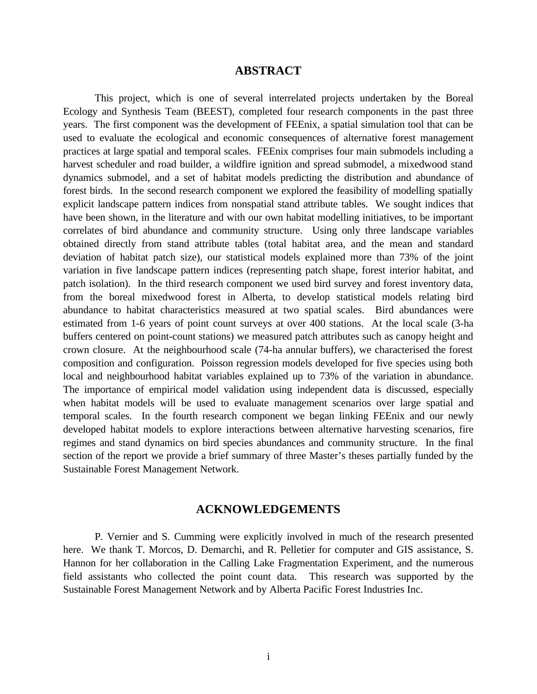# **ABSTRACT**

This project, which is one of several interrelated projects undertaken by the Boreal Ecology and Synthesis Team (BEEST), completed four research components in the past three years. The first component was the development of FEEnix, a spatial simulation tool that can be used to evaluate the ecological and economic consequences of alternative forest management practices at large spatial and temporal scales. FEEnix comprises four main submodels including a harvest scheduler and road builder, a wildfire ignition and spread submodel, a mixedwood stand dynamics submodel, and a set of habitat models predicting the distribution and abundance of forest birds. In the second research component we explored the feasibility of modelling spatially explicit landscape pattern indices from nonspatial stand attribute tables. We sought indices that have been shown, in the literature and with our own habitat modelling initiatives, to be important correlates of bird abundance and community structure. Using only three landscape variables obtained directly from stand attribute tables (total habitat area, and the mean and standard deviation of habitat patch size), our statistical models explained more than 73% of the joint variation in five landscape pattern indices (representing patch shape, forest interior habitat, and patch isolation). In the third research component we used bird survey and forest inventory data, from the boreal mixedwood forest in Alberta, to develop statistical models relating bird abundance to habitat characteristics measured at two spatial scales. Bird abundances were estimated from 1-6 years of point count surveys at over 400 stations. At the local scale (3-ha buffers centered on point-count stations) we measured patch attributes such as canopy height and crown closure. At the neighbourhood scale (74-ha annular buffers), we characterised the forest composition and configuration. Poisson regression models developed for five species using both local and neighbourhood habitat variables explained up to 73% of the variation in abundance. The importance of empirical model validation using independent data is discussed, especially when habitat models will be used to evaluate management scenarios over large spatial and temporal scales. In the fourth research component we began linking FEEnix and our newly developed habitat models to explore interactions between alternative harvesting scenarios, fire regimes and stand dynamics on bird species abundances and community structure. In the final section of the report we provide a brief summary of three Master's theses partially funded by the Sustainable Forest Management Network.

### **ACKNOWLEDGEMENTS**

P. Vernier and S. Cumming were explicitly involved in much of the research presented here. We thank T. Morcos, D. Demarchi, and R. Pelletier for computer and GIS assistance, S. Hannon for her collaboration in the Calling Lake Fragmentation Experiment, and the numerous field assistants who collected the point count data. This research was supported by the Sustainable Forest Management Network and by Alberta Pacific Forest Industries Inc.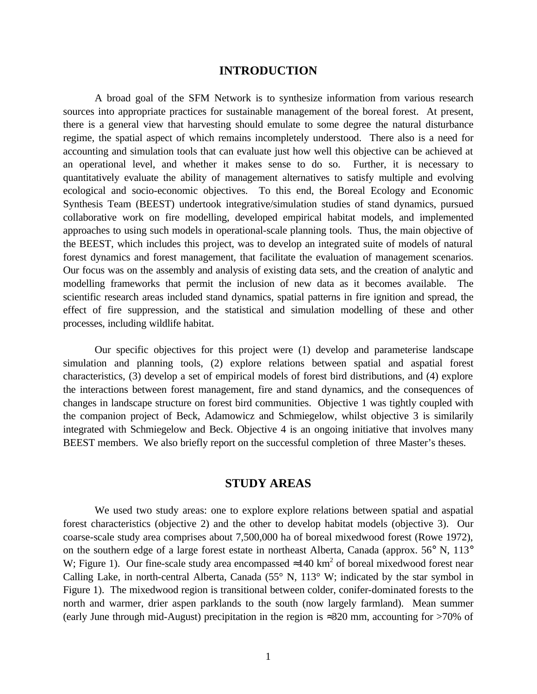# **INTRODUCTION**

A broad goal of the SFM Network is to synthesize information from various research sources into appropriate practices for sustainable management of the boreal forest. At present, there is a general view that harvesting should emulate to some degree the natural disturbance regime, the spatial aspect of which remains incompletely understood. There also is a need for accounting and simulation tools that can evaluate just how well this objective can be achieved at an operational level, and whether it makes sense to do so. Further, it is necessary to quantitatively evaluate the ability of management alternatives to satisfy multiple and evolving ecological and socio-economic objectives. To this end, the Boreal Ecology and Economic Synthesis Team (BEEST) undertook integrative/simulation studies of stand dynamics, pursued collaborative work on fire modelling, developed empirical habitat models, and implemented approaches to using such models in operational-scale planning tools. Thus, the main objective of the BEEST, which includes this project, was to develop an integrated suite of models of natural forest dynamics and forest management, that facilitate the evaluation of management scenarios. Our focus was on the assembly and analysis of existing data sets, and the creation of analytic and modelling frameworks that permit the inclusion of new data as it becomes available. The scientific research areas included stand dynamics, spatial patterns in fire ignition and spread, the effect of fire suppression, and the statistical and simulation modelling of these and other processes, including wildlife habitat.

Our specific objectives for this project were (1) develop and parameterise landscape simulation and planning tools, (2) explore relations between spatial and aspatial forest characteristics, (3) develop a set of empirical models of forest bird distributions, and (4) explore the interactions between forest management, fire and stand dynamics, and the consequences of changes in landscape structure on forest bird communities. Objective 1 was tightly coupled with the companion project of Beck, Adamowicz and Schmiegelow, whilst objective 3 is similarily integrated with Schmiegelow and Beck. Objective 4 is an ongoing initiative that involves many BEEST members. We also briefly report on the successful completion of three Master's theses.

# **STUDY AREAS**

We used two study areas: one to explore explore relations between spatial and aspatial forest characteristics (objective 2) and the other to develop habitat models (objective 3). Our coarse-scale study area comprises about 7,500,000 ha of boreal mixedwood forest (Rowe 1972), on the southern edge of a large forest estate in northeast Alberta, Canada (approx. 56° N, 113° W; Figure 1). Our fine-scale study area encompassed  $\approx$ 140 km<sup>2</sup> of boreal mixedwood forest near Calling Lake, in north-central Alberta, Canada (55° N, 113° W; indicated by the star symbol in Figure 1). The mixedwood region is transitional between colder, conifer-dominated forests to the north and warmer, drier aspen parklands to the south (now largely farmland). Mean summer (early June through mid-August) precipitation in the region is  $\approx 320$  mm, accounting for  $>70\%$  of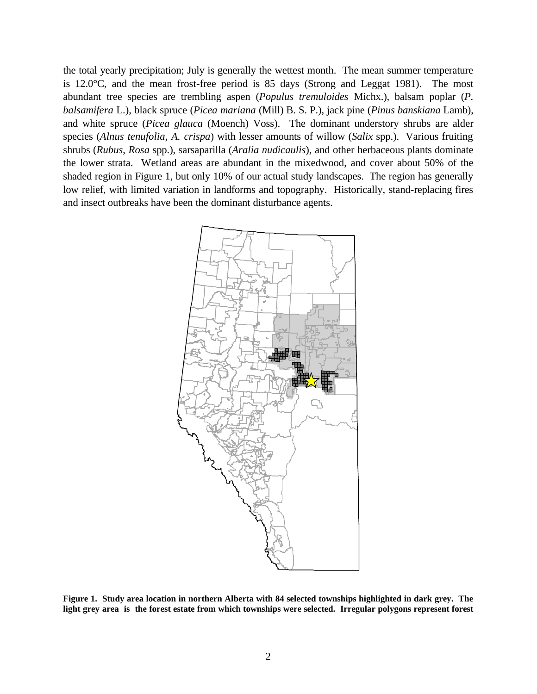the total yearly precipitation; July is generally the wettest month. The mean summer temperature is 12.0°C, and the mean frost-free period is 85 days (Strong and Leggat 1981). The most abundant tree species are trembling aspen (*Populus tremuloides* Michx.), balsam poplar (*P. balsamifera* L.), black spruce (*Picea mariana* (Mill) B. S. P.), jack pine (*Pinus banskiana* Lamb), and white spruce (*Picea glauca* (Moench) Voss). The dominant understory shrubs are alder species (*Alnus tenufolia, A. crispa*) with lesser amounts of willow (*Salix* spp.). Various fruiting shrubs (*Rubus*, *Rosa* spp.), sarsaparilla (*Aralia nudicaulis*), and other herbaceous plants dominate the lower strata. Wetland areas are abundant in the mixedwood, and cover about 50% of the shaded region in Figure 1, but only 10% of our actual study landscapes. The region has generally low relief, with limited variation in landforms and topography. Historically, stand-replacing fires and insect outbreaks have been the dominant disturbance agents.



**Figure 1. Study area location in northern Alberta with 84 selected townships highlighted in dark grey. The light grey area is the forest estate from which townships were selected. Irregular polygons represent forest**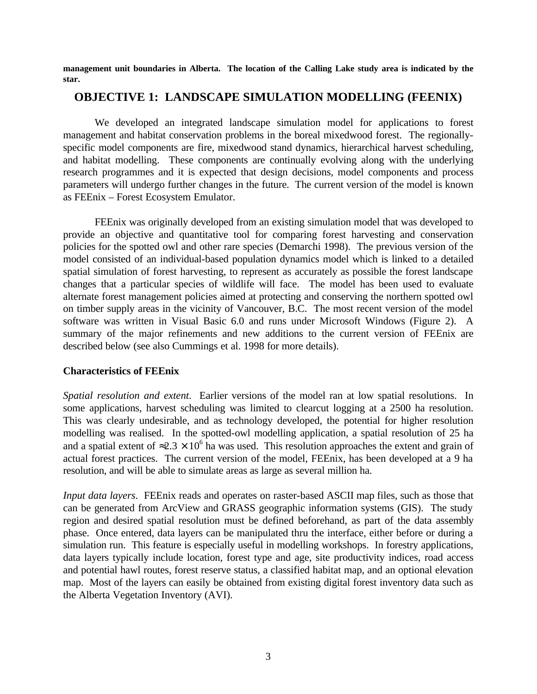**management unit boundaries in Alberta. The location of the Calling Lake study area is indicated by the star.**

# **OBJECTIVE 1: LANDSCAPE SIMULATION MODELLING (FEENIX)**

We developed an integrated landscape simulation model for applications to forest management and habitat conservation problems in the boreal mixedwood forest. The regionallyspecific model components are fire, mixedwood stand dynamics, hierarchical harvest scheduling, and habitat modelling. These components are continually evolving along with the underlying research programmes and it is expected that design decisions, model components and process parameters will undergo further changes in the future. The current version of the model is known as FEEnix – Forest Ecosystem Emulator.

FEEnix was originally developed from an existing simulation model that was developed to provide an objective and quantitative tool for comparing forest harvesting and conservation policies for the spotted owl and other rare species (Demarchi 1998). The previous version of the model consisted of an individual-based population dynamics model which is linked to a detailed spatial simulation of forest harvesting, to represent as accurately as possible the forest landscape changes that a particular species of wildlife will face. The model has been used to evaluate alternate forest management policies aimed at protecting and conserving the northern spotted owl on timber supply areas in the vicinity of Vancouver, B.C. The most recent version of the model software was written in Visual Basic 6.0 and runs under Microsoft Windows (Figure 2). A summary of the major refinements and new additions to the current version of FEEnix are described below (see also Cummings et al. 1998 for more details).

# **Characteristics of FEEnix**

*Spatial resolution and extent*. Earlier versions of the model ran at low spatial resolutions. In some applications, harvest scheduling was limited to clearcut logging at a 2500 ha resolution. This was clearly undesirable, and as technology developed, the potential for higher resolution modelling was realised. In the spotted-owl modelling application, a spatial resolution of 25 ha and a spatial extent of  $\approx 2.3 \times 10^6$  ha was used. This resolution approaches the extent and grain of actual forest practices. The current version of the model, FEEnix, has been developed at a 9 ha resolution, and will be able to simulate areas as large as several million ha.

*Input data layers*. FEEnix reads and operates on raster-based ASCII map files, such as those that can be generated from ArcView and GRASS geographic information systems (GIS). The study region and desired spatial resolution must be defined beforehand, as part of the data assembly phase. Once entered, data layers can be manipulated thru the interface, either before or during a simulation run. This feature is especially useful in modelling workshops. In forestry applications, data layers typically include location, forest type and age, site productivity indices, road access and potential hawl routes, forest reserve status, a classified habitat map, and an optional elevation map. Most of the layers can easily be obtained from existing digital forest inventory data such as the Alberta Vegetation Inventory (AVI).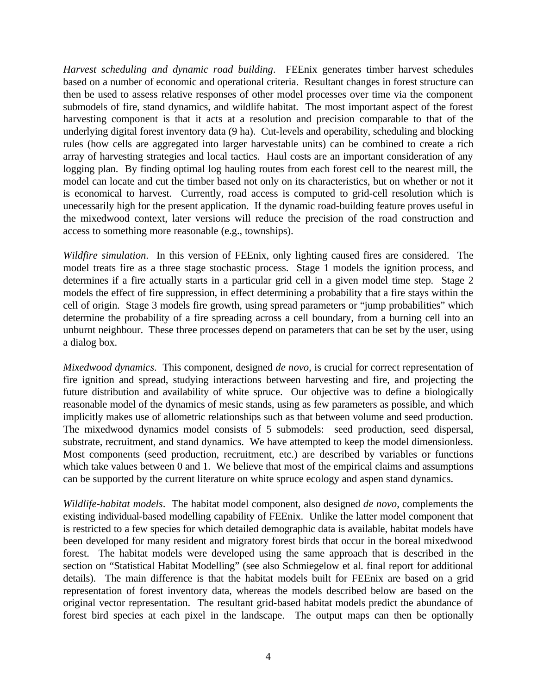*Harvest scheduling and dynamic road building*. FEEnix generates timber harvest schedules based on a number of economic and operational criteria. Resultant changes in forest structure can then be used to assess relative responses of other model processes over time via the component submodels of fire, stand dynamics, and wildlife habitat. The most important aspect of the forest harvesting component is that it acts at a resolution and precision comparable to that of the underlying digital forest inventory data (9 ha). Cut-levels and operability, scheduling and blocking rules (how cells are aggregated into larger harvestable units) can be combined to create a rich array of harvesting strategies and local tactics. Haul costs are an important consideration of any logging plan. By finding optimal log hauling routes from each forest cell to the nearest mill, the model can locate and cut the timber based not only on its characteristics, but on whether or not it is economical to harvest. Currently, road access is computed to grid-cell resolution which is unecessarily high for the present application. If the dynamic road-building feature proves useful in the mixedwood context, later versions will reduce the precision of the road construction and access to something more reasonable (e.g., townships).

*Wildfire simulation*. In this version of FEEnix, only lighting caused fires are considered. The model treats fire as a three stage stochastic process. Stage 1 models the ignition process, and determines if a fire actually starts in a particular grid cell in a given model time step. Stage 2 models the effect of fire suppression, in effect determining a probability that a fire stays within the cell of origin. Stage 3 models fire growth, using spread parameters or "jump probabilities" which determine the probability of a fire spreading across a cell boundary, from a burning cell into an unburnt neighbour. These three processes depend on parameters that can be set by the user, using a dialog box.

*Mixedwood dynamics*. This component, designed *de novo*, is crucial for correct representation of fire ignition and spread, studying interactions between harvesting and fire, and projecting the future distribution and availability of white spruce. Our objective was to define a biologically reasonable model of the dynamics of mesic stands, using as few parameters as possible, and which implicitly makes use of allometric relationships such as that between volume and seed production. The mixedwood dynamics model consists of 5 submodels: seed production, seed dispersal, substrate, recruitment, and stand dynamics. We have attempted to keep the model dimensionless. Most components (seed production, recruitment, etc.) are described by variables or functions which take values between 0 and 1. We believe that most of the empirical claims and assumptions can be supported by the current literature on white spruce ecology and aspen stand dynamics.

*Wildlife-habitat models*. The habitat model component, also designed *de novo*, complements the existing individual-based modelling capability of FEEnix. Unlike the latter model component that is restricted to a few species for which detailed demographic data is available, habitat models have been developed for many resident and migratory forest birds that occur in the boreal mixedwood forest. The habitat models were developed using the same approach that is described in the section on "Statistical Habitat Modelling" (see also Schmiegelow et al. final report for additional details). The main difference is that the habitat models built for FEEnix are based on a grid representation of forest inventory data, whereas the models described below are based on the original vector representation. The resultant grid-based habitat models predict the abundance of forest bird species at each pixel in the landscape. The output maps can then be optionally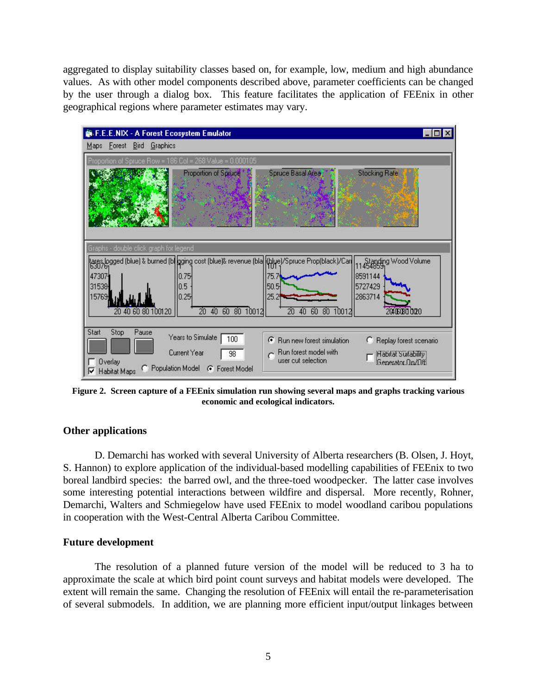aggregated to display suitability classes based on, for example, low, medium and high abundance values. As with other model components described above, parameter coefficients can be changed by the user through a dialog box. This feature facilitates the application of FEEnix in other geographical regions where parameter estimates may vary.



**Figure 2. Screen capture of a FEEnix simulation run showing several maps and graphs tracking various economic and ecological indicators.**

# **Other applications**

D. Demarchi has worked with several University of Alberta researchers (B. Olsen, J. Hoyt, S. Hannon) to explore application of the individual-based modelling capabilities of FEEnix to two boreal landbird species: the barred owl, and the three-toed woodpecker. The latter case involves some interesting potential interactions between wildfire and dispersal. More recently, Rohner, Demarchi, Walters and Schmiegelow have used FEEnix to model woodland caribou populations in cooperation with the West-Central Alberta Caribou Committee.

#### **Future development**

The resolution of a planned future version of the model will be reduced to 3 ha to approximate the scale at which bird point count surveys and habitat models were developed. The extent will remain the same. Changing the resolution of FEEnix will entail the re-parameterisation of several submodels. In addition, we are planning more efficient input/output linkages between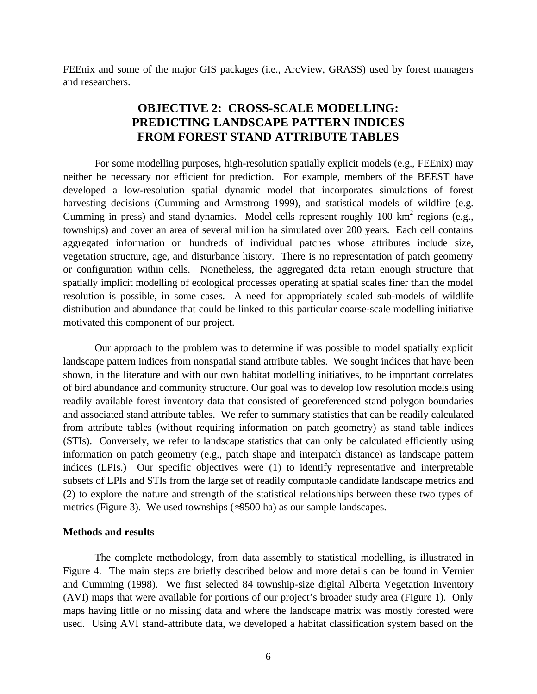FEEnix and some of the major GIS packages (i.e., ArcView, GRASS) used by forest managers and researchers.

# **OBJECTIVE 2: CROSS-SCALE MODELLING: PREDICTING LANDSCAPE PATTERN INDICES FROM FOREST STAND ATTRIBUTE TABLES**

For some modelling purposes, high-resolution spatially explicit models (e.g., FEEnix) may neither be necessary nor efficient for prediction. For example, members of the BEEST have developed a low-resolution spatial dynamic model that incorporates simulations of forest harvesting decisions (Cumming and Armstrong 1999), and statistical models of wildfire (e.g. Cumming in press) and stand dynamics. Model cells represent roughly  $100 \text{ km}^2$  regions (e.g., townships) and cover an area of several million ha simulated over 200 years. Each cell contains aggregated information on hundreds of individual patches whose attributes include size, vegetation structure, age, and disturbance history. There is no representation of patch geometry or configuration within cells. Nonetheless, the aggregated data retain enough structure that spatially implicit modelling of ecological processes operating at spatial scales finer than the model resolution is possible, in some cases. A need for appropriately scaled sub-models of wildlife distribution and abundance that could be linked to this particular coarse-scale modelling initiative motivated this component of our project.

Our approach to the problem was to determine if was possible to model spatially explicit landscape pattern indices from nonspatial stand attribute tables. We sought indices that have been shown, in the literature and with our own habitat modelling initiatives, to be important correlates of bird abundance and community structure. Our goal was to develop low resolution models using readily available forest inventory data that consisted of georeferenced stand polygon boundaries and associated stand attribute tables. We refer to summary statistics that can be readily calculated from attribute tables (without requiring information on patch geometry) as stand table indices (STIs). Conversely, we refer to landscape statistics that can only be calculated efficiently using information on patch geometry (e.g., patch shape and interpatch distance) as landscape pattern indices (LPIs.) Our specific objectives were (1) to identify representative and interpretable subsets of LPIs and STIs from the large set of readily computable candidate landscape metrics and (2) to explore the nature and strength of the statistical relationships between these two types of metrics (Figure 3). We used townships (≈9500 ha) as our sample landscapes.

#### **Methods and results**

The complete methodology, from data assembly to statistical modelling, is illustrated in Figure 4. The main steps are briefly described below and more details can be found in Vernier and Cumming (1998). We first selected 84 township-size digital Alberta Vegetation Inventory (AVI) maps that were available for portions of our project's broader study area (Figure 1). Only maps having little or no missing data and where the landscape matrix was mostly forested were used. Using AVI stand-attribute data, we developed a habitat classification system based on the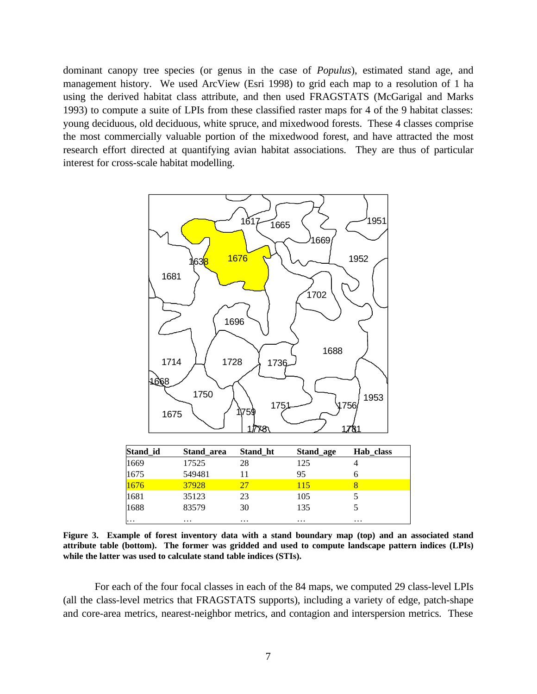dominant canopy tree species (or genus in the case of *Populus*), estimated stand age, and management history. We used ArcView (Esri 1998) to grid each map to a resolution of 1 ha using the derived habitat class attribute, and then used FRAGSTATS (McGarigal and Marks 1993) to compute a suite of LPIs from these classified raster maps for 4 of the 9 habitat classes: young deciduous, old deciduous, white spruce, and mixedwood forests. These 4 classes comprise the most commercially valuable portion of the mixedwood forest, and have attracted the most research effort directed at quantifying avian habitat associations. They are thus of particular interest for cross-scale habitat modelling.



| Stand_id     | Stand area | Stand ht | Stand_age | Hab class |  |
|--------------|------------|----------|-----------|-----------|--|
|              | 17525      | 28       | 125       |           |  |
| 1669<br>1675 | 549481     |          | 95        |           |  |
| 1676         | 37928      |          | 115       |           |  |
| 1681<br>1688 | 35123      | 23       | 105       |           |  |
|              | 83579      | 30       | 135       |           |  |
| $\cdots$     | $\cdots$   | $\cdots$ | $\cdots$  | $\cdots$  |  |

**Figure 3. Example of forest inventory data with a stand boundary map (top) and an associated stand attribute table (bottom). The former was gridded and used to compute landscape pattern indices (LPIs) while the latter was used to calculate stand table indices (STIs).**

For each of the four focal classes in each of the 84 maps, we computed 29 class-level LPIs (all the class-level metrics that FRAGSTATS supports), including a variety of edge, patch-shape and core-area metrics, nearest-neighbor metrics, and contagion and interspersion metrics. These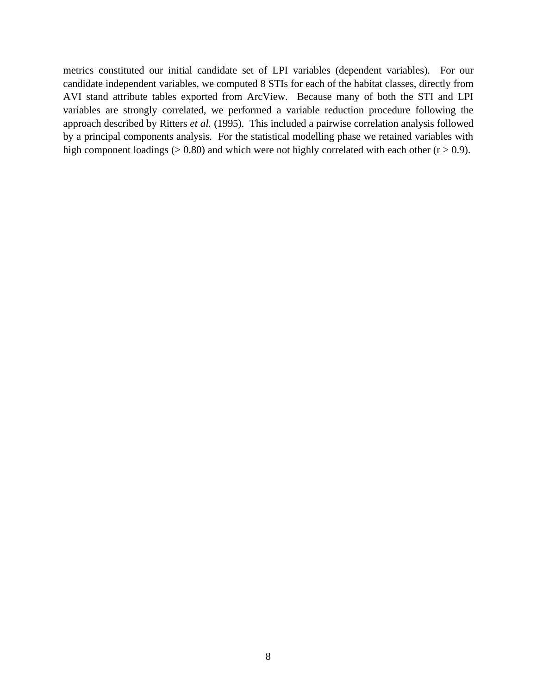metrics constituted our initial candidate set of LPI variables (dependent variables). For our candidate independent variables, we computed 8 STIs for each of the habitat classes, directly from AVI stand attribute tables exported from ArcView. Because many of both the STI and LPI variables are strongly correlated, we performed a variable reduction procedure following the approach described by Ritters *et al.* (1995). This included a pairwise correlation analysis followed by a principal components analysis. For the statistical modelling phase we retained variables with high component loadings ( $> 0.80$ ) and which were not highly correlated with each other ( $r > 0.9$ ).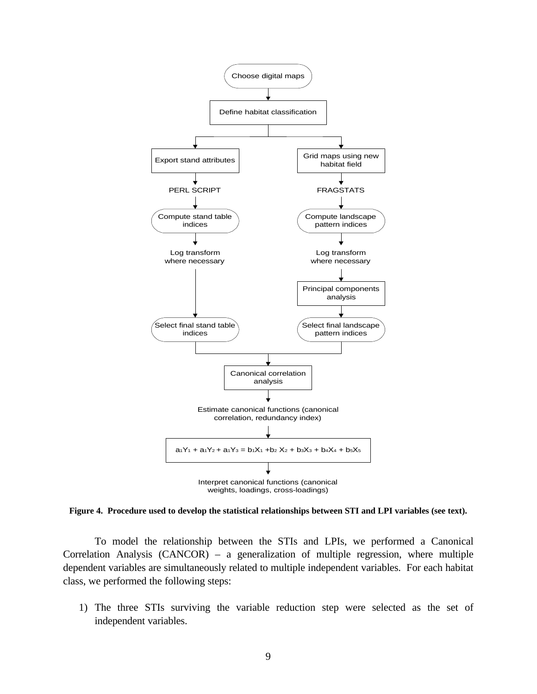

**Figure 4. Procedure used to develop the statistical relationships between STI and LPI variables (see text).**

To model the relationship between the STIs and LPIs, we performed a Canonical Correlation Analysis (CANCOR) – a generalization of multiple regression, where multiple dependent variables are simultaneously related to multiple independent variables. For each habitat class, we performed the following steps:

1) The three STIs surviving the variable reduction step were selected as the set of independent variables.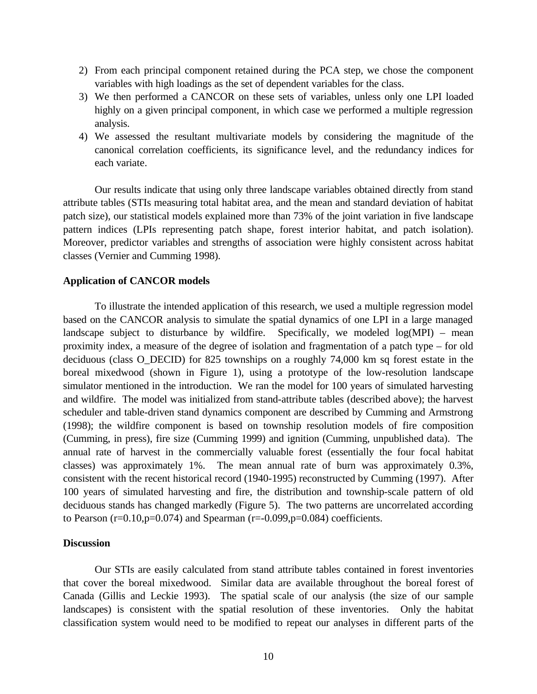- 2) From each principal component retained during the PCA step, we chose the component variables with high loadings as the set of dependent variables for the class.
- 3) We then performed a CANCOR on these sets of variables, unless only one LPI loaded highly on a given principal component, in which case we performed a multiple regression analysis.
- 4) We assessed the resultant multivariate models by considering the magnitude of the canonical correlation coefficients, its significance level, and the redundancy indices for each variate.

Our results indicate that using only three landscape variables obtained directly from stand attribute tables (STIs measuring total habitat area, and the mean and standard deviation of habitat patch size), our statistical models explained more than 73% of the joint variation in five landscape pattern indices (LPIs representing patch shape, forest interior habitat, and patch isolation). Moreover, predictor variables and strengths of association were highly consistent across habitat classes (Vernier and Cumming 1998).

#### **Application of CANCOR models**

To illustrate the intended application of this research, we used a multiple regression model based on the CANCOR analysis to simulate the spatial dynamics of one LPI in a large managed landscape subject to disturbance by wildfire. Specifically, we modeled log(MPI) – mean proximity index, a measure of the degree of isolation and fragmentation of a patch type – for old deciduous (class O\_DECID) for 825 townships on a roughly 74,000 km sq forest estate in the boreal mixedwood (shown in Figure 1), using a prototype of the low-resolution landscape simulator mentioned in the introduction. We ran the model for 100 years of simulated harvesting and wildfire. The model was initialized from stand-attribute tables (described above); the harvest scheduler and table-driven stand dynamics component are described by Cumming and Armstrong (1998); the wildfire component is based on township resolution models of fire composition (Cumming, in press), fire size (Cumming 1999) and ignition (Cumming, unpublished data). The annual rate of harvest in the commercially valuable forest (essentially the four focal habitat classes) was approximately 1%. The mean annual rate of burn was approximately 0.3%, consistent with the recent historical record (1940-1995) reconstructed by Cumming (1997). After 100 years of simulated harvesting and fire, the distribution and township-scale pattern of old deciduous stands has changed markedly (Figure 5). The two patterns are uncorrelated according to Pearson (r=0.10,p=0.074) and Spearman (r=-0.099,p=0.084) coefficients.

#### **Discussion**

Our STIs are easily calculated from stand attribute tables contained in forest inventories that cover the boreal mixedwood. Similar data are available throughout the boreal forest of Canada (Gillis and Leckie 1993). The spatial scale of our analysis (the size of our sample landscapes) is consistent with the spatial resolution of these inventories. Only the habitat classification system would need to be modified to repeat our analyses in different parts of the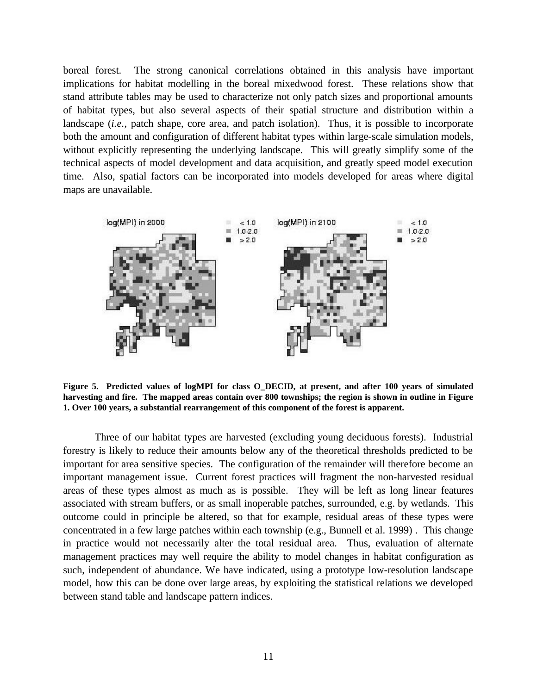boreal forest. The strong canonical correlations obtained in this analysis have important implications for habitat modelling in the boreal mixedwood forest. These relations show that stand attribute tables may be used to characterize not only patch sizes and proportional amounts of habitat types, but also several aspects of their spatial structure and distribution within a landscape (*i.e.,* patch shape, core area, and patch isolation). Thus, it is possible to incorporate both the amount and configuration of different habitat types within large-scale simulation models, without explicitly representing the underlying landscape. This will greatly simplify some of the technical aspects of model development and data acquisition, and greatly speed model execution time. Also, spatial factors can be incorporated into models developed for areas where digital maps are unavailable.



**Figure 5. Predicted values of logMPI for class O\_DECID, at present, and after 100 years of simulated harvesting and fire. The mapped areas contain over 800 townships; the region is shown in outline in Figure 1. Over 100 years, a substantial rearrangement of this component of the forest is apparent.**

Three of our habitat types are harvested (excluding young deciduous forests). Industrial forestry is likely to reduce their amounts below any of the theoretical thresholds predicted to be important for area sensitive species. The configuration of the remainder will therefore become an important management issue. Current forest practices will fragment the non-harvested residual areas of these types almost as much as is possible. They will be left as long linear features associated with stream buffers, or as small inoperable patches, surrounded, e.g. by wetlands. This outcome could in principle be altered, so that for example, residual areas of these types were concentrated in a few large patches within each township (e.g., Bunnell et al. 1999) . This change in practice would not necessarily alter the total residual area. Thus, evaluation of alternate management practices may well require the ability to model changes in habitat configuration as such, independent of abundance. We have indicated, using a prototype low-resolution landscape model, how this can be done over large areas, by exploiting the statistical relations we developed between stand table and landscape pattern indices.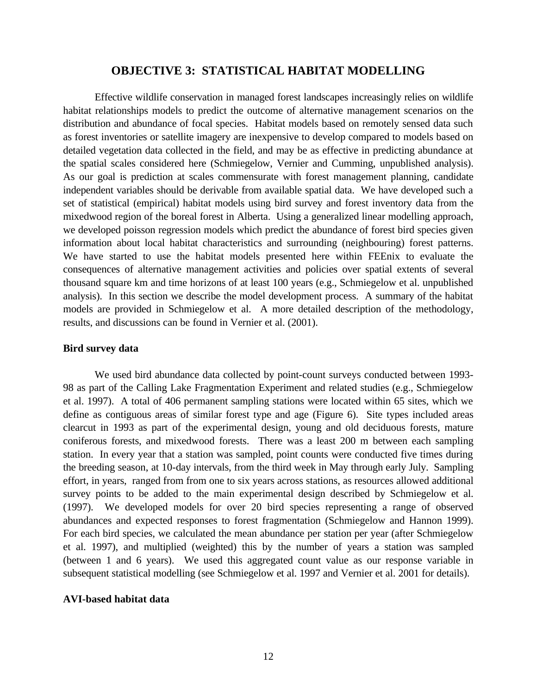# **OBJECTIVE 3: STATISTICAL HABITAT MODELLING**

Effective wildlife conservation in managed forest landscapes increasingly relies on wildlife habitat relationships models to predict the outcome of alternative management scenarios on the distribution and abundance of focal species. Habitat models based on remotely sensed data such as forest inventories or satellite imagery are inexpensive to develop compared to models based on detailed vegetation data collected in the field, and may be as effective in predicting abundance at the spatial scales considered here (Schmiegelow, Vernier and Cumming, unpublished analysis). As our goal is prediction at scales commensurate with forest management planning, candidate independent variables should be derivable from available spatial data. We have developed such a set of statistical (empirical) habitat models using bird survey and forest inventory data from the mixedwood region of the boreal forest in Alberta. Using a generalized linear modelling approach, we developed poisson regression models which predict the abundance of forest bird species given information about local habitat characteristics and surrounding (neighbouring) forest patterns. We have started to use the habitat models presented here within FEEnix to evaluate the consequences of alternative management activities and policies over spatial extents of several thousand square km and time horizons of at least 100 years (e.g., Schmiegelow et al. unpublished analysis). In this section we describe the model development process. A summary of the habitat models are provided in Schmiegelow et al. A more detailed description of the methodology, results, and discussions can be found in Vernier et al. (2001).

#### **Bird survey data**

We used bird abundance data collected by point-count surveys conducted between 1993- 98 as part of the Calling Lake Fragmentation Experiment and related studies (e.g., Schmiegelow et al. 1997). A total of 406 permanent sampling stations were located within 65 sites, which we define as contiguous areas of similar forest type and age (Figure 6). Site types included areas clearcut in 1993 as part of the experimental design, young and old deciduous forests, mature coniferous forests, and mixedwood forests. There was a least 200 m between each sampling station. In every year that a station was sampled, point counts were conducted five times during the breeding season, at 10-day intervals, from the third week in May through early July. Sampling effort, in years, ranged from from one to six years across stations, as resources allowed additional survey points to be added to the main experimental design described by Schmiegelow et al. (1997). We developed models for over 20 bird species representing a range of observed abundances and expected responses to forest fragmentation (Schmiegelow and Hannon 1999). For each bird species, we calculated the mean abundance per station per year (after Schmiegelow et al. 1997), and multiplied (weighted) this by the number of years a station was sampled (between 1 and 6 years). We used this aggregated count value as our response variable in subsequent statistical modelling (see Schmiegelow et al. 1997 and Vernier et al. 2001 for details).

#### **AVI-based habitat data**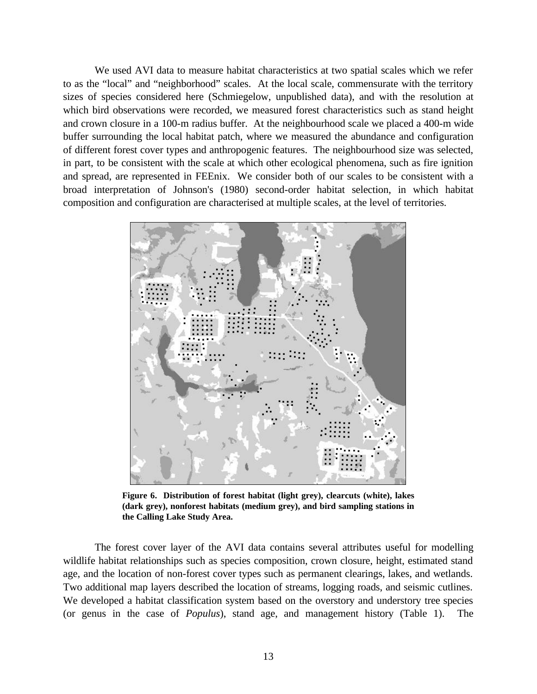We used AVI data to measure habitat characteristics at two spatial scales which we refer to as the "local" and "neighborhood" scales. At the local scale, commensurate with the territory sizes of species considered here (Schmiegelow, unpublished data), and with the resolution at which bird observations were recorded, we measured forest characteristics such as stand height and crown closure in a 100-m radius buffer. At the neighbourhood scale we placed a 400-m wide buffer surrounding the local habitat patch, where we measured the abundance and configuration of different forest cover types and anthropogenic features. The neighbourhood size was selected, in part, to be consistent with the scale at which other ecological phenomena, such as fire ignition and spread, are represented in FEEnix. We consider both of our scales to be consistent with a broad interpretation of Johnson's (1980) second-order habitat selection, in which habitat composition and configuration are characterised at multiple scales, at the level of territories.



**Figure 6. Distribution of forest habitat (light grey), clearcuts (white), lakes (dark grey), nonforest habitats (medium grey), and bird sampling stations in the Calling Lake Study Area.**

The forest cover layer of the AVI data contains several attributes useful for modelling wildlife habitat relationships such as species composition, crown closure, height, estimated stand age, and the location of non-forest cover types such as permanent clearings, lakes, and wetlands. Two additional map layers described the location of streams, logging roads, and seismic cutlines. We developed a habitat classification system based on the overstory and understory tree species (or genus in the case of *Populus*), stand age, and management history (Table 1). The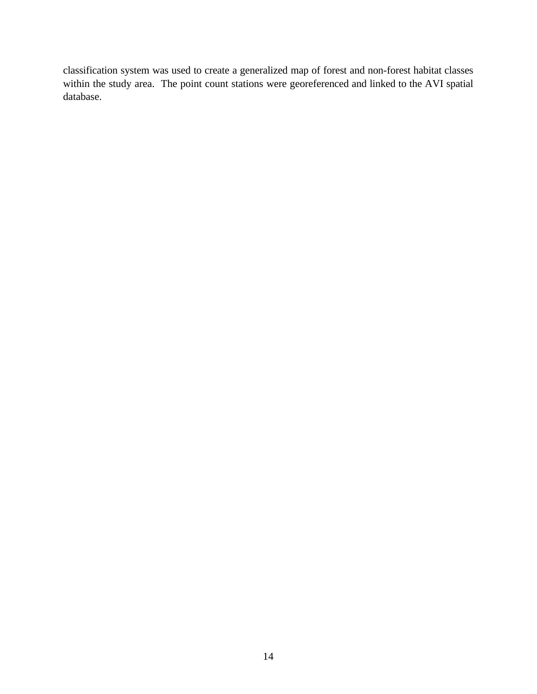classification system was used to create a generalized map of forest and non-forest habitat classes within the study area. The point count stations were georeferenced and linked to the AVI spatial database.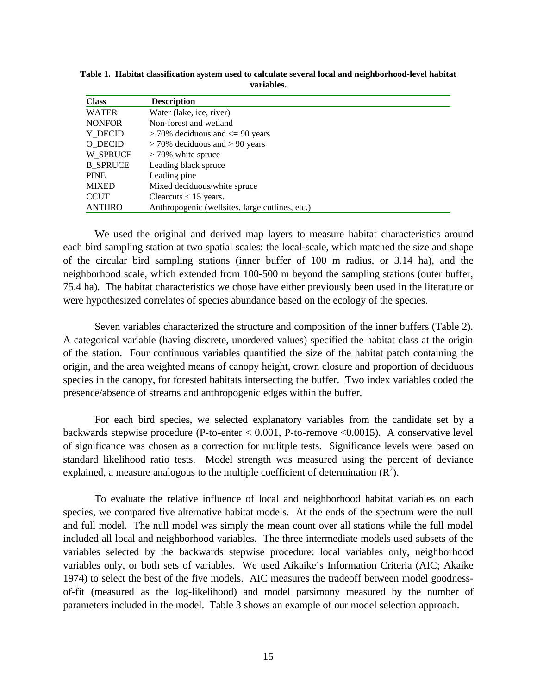| <b>Class</b>    | <b>Description</b>                              |  |  |  |
|-----------------|-------------------------------------------------|--|--|--|
| <b>WATER</b>    | Water (lake, ice, river)                        |  |  |  |
| <b>NONFOR</b>   | Non-forest and wetland                          |  |  |  |
| Y DECID         | $>$ 70% deciduous and $\leq$ 90 years           |  |  |  |
| O DECID         | $>$ 70% deciduous and $>$ 90 years              |  |  |  |
| W SPRUCE        | $>70\%$ white spruce                            |  |  |  |
| <b>B SPRUCE</b> | Leading black spruce                            |  |  |  |
| <b>PINE</b>     | Leading pine                                    |  |  |  |
| <b>MIXED</b>    | Mixed deciduous/white spruce                    |  |  |  |
| <b>CCUT</b>     | Clearcuts $< 15$ years.                         |  |  |  |
| <b>ANTHRO</b>   | Anthropogenic (wellsites, large cutlines, etc.) |  |  |  |

**Table 1. Habitat classification system used to calculate several local and neighborhood-level habitat variables.**

We used the original and derived map layers to measure habitat characteristics around each bird sampling station at two spatial scales: the local-scale, which matched the size and shape of the circular bird sampling stations (inner buffer of 100 m radius, or 3.14 ha), and the neighborhood scale, which extended from 100-500 m beyond the sampling stations (outer buffer, 75.4 ha). The habitat characteristics we chose have either previously been used in the literature or were hypothesized correlates of species abundance based on the ecology of the species.

Seven variables characterized the structure and composition of the inner buffers (Table 2). A categorical variable (having discrete, unordered values) specified the habitat class at the origin of the station. Four continuous variables quantified the size of the habitat patch containing the origin, and the area weighted means of canopy height, crown closure and proportion of deciduous species in the canopy, for forested habitats intersecting the buffer. Two index variables coded the presence/absence of streams and anthropogenic edges within the buffer.

For each bird species, we selected explanatory variables from the candidate set by a backwards stepwise procedure (P-to-enter < 0.001, P-to-remove <0.0015). A conservative level of significance was chosen as a correction for mulitple tests. Significance levels were based on standard likelihood ratio tests. Model strength was measured using the percent of deviance explained, a measure analogous to the multiple coefficient of determination  $(R^2)$ .

To evaluate the relative influence of local and neighborhood habitat variables on each species, we compared five alternative habitat models. At the ends of the spectrum were the null and full model. The null model was simply the mean count over all stations while the full model included all local and neighborhood variables. The three intermediate models used subsets of the variables selected by the backwards stepwise procedure: local variables only, neighborhood variables only, or both sets of variables. We used Aikaike's Information Criteria (AIC; Akaike 1974) to select the best of the five models. AIC measures the tradeoff between model goodnessof-fit (measured as the log-likelihood) and model parsimony measured by the number of parameters included in the model. Table 3 shows an example of our model selection approach.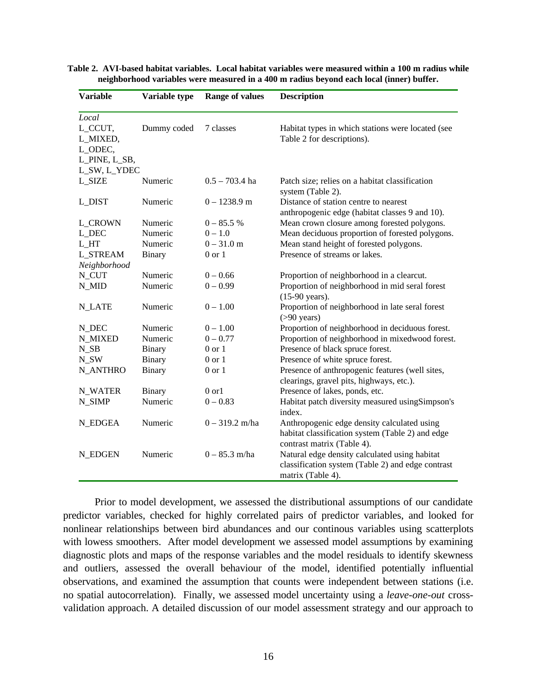| <b>Variable</b> | Variable type | <b>Range of values</b> | <b>Description</b>                                                                          |
|-----------------|---------------|------------------------|---------------------------------------------------------------------------------------------|
| Local           |               |                        |                                                                                             |
| L_CCUT,         | Dummy coded   | 7 classes              | Habitat types in which stations were located (see                                           |
| L_MIXED,        |               |                        | Table 2 for descriptions).                                                                  |
| L_ODEC,         |               |                        |                                                                                             |
| L_PINE, L_SB,   |               |                        |                                                                                             |
| L_SW, L_YDEC    |               |                        |                                                                                             |
| <b>L_SIZE</b>   | Numeric       | $0.5 - 703.4$ ha       | Patch size; relies on a habitat classification<br>system (Table 2).                         |
| L_DIST          | Numeric       | $0 - 1238.9$ m         | Distance of station centre to nearest<br>anthropogenic edge (habitat classes 9 and 10).     |
| <b>L_CROWN</b>  | Numeric       | $0 - 85.5 %$           | Mean crown closure among forested polygons.                                                 |
| L DEC           | Numeric       | $0 - 1.0$              | Mean deciduous proportion of forested polygons.                                             |
| L_HT            | Numeric       | $0 - 31.0$ m           | Mean stand height of forested polygons.                                                     |
| <b>L_STREAM</b> | <b>Binary</b> | $0$ or $1$             | Presence of streams or lakes.                                                               |
| Neighborhood    |               |                        |                                                                                             |
| N_CUT           | Numeric       | $0 - 0.66$             | Proportion of neighborhood in a clearcut.                                                   |
| N_MID           | Numeric       | $0 - 0.99$             | Proportion of neighborhood in mid seral forest<br>$(15-90 \text{ years}).$                  |
| <b>N_LATE</b>   | Numeric       | $0 - 1.00$             | Proportion of neighborhood in late seral forest<br>$( > 90$ years)                          |
| N_DEC           | Numeric       | $0 - 1.00$             | Proportion of neighborhood in deciduous forest.                                             |
| <b>N_MIXED</b>  | Numeric       | $0 - 0.77$             | Proportion of neighborhood in mixedwood forest.                                             |
| $N\_SB$         | <b>Binary</b> | $0$ or $1\,$           | Presence of black spruce forest.                                                            |
| N_SW            | Binary        | $0$ or $1$             | Presence of white spruce forest.                                                            |
| <b>N_ANTHRO</b> | Binary        | $0$ or $1$             | Presence of anthropogenic features (well sites,<br>clearings, gravel pits, highways, etc.). |
| <b>N_WATER</b>  | Binary        | $0$ or $1$             | Presence of lakes, ponds, etc.                                                              |
| N_SIMP          | Numeric       | $0 - 0.83$             | Habitat patch diversity measured usingSimpson's                                             |
|                 |               |                        | index.                                                                                      |
| <b>N_EDGEA</b>  | Numeric       | $0 - 319.2$ m/ha       | Anthropogenic edge density calculated using                                                 |
|                 |               |                        | habitat classification system (Table 2) and edge                                            |
|                 |               |                        | contrast matrix (Table 4).                                                                  |
| N EDGEN         | Numeric       | $0 - 85.3$ m/ha        | Natural edge density calculated using habitat                                               |
|                 |               |                        | classification system (Table 2) and edge contrast                                           |
|                 |               |                        | matrix (Table 4).                                                                           |

**Table 2. AVI-based habitat variables. Local habitat variables were measured within a 100 m radius while neighborhood variables were measured in a 400 m radius beyond each local (inner) buffer.**

Prior to model development, we assessed the distributional assumptions of our candidate predictor variables, checked for highly correlated pairs of predictor variables, and looked for nonlinear relationships between bird abundances and our continous variables using scatterplots with lowess smoothers. After model development we assessed model assumptions by examining diagnostic plots and maps of the response variables and the model residuals to identify skewness and outliers, assessed the overall behaviour of the model, identified potentially influential observations, and examined the assumption that counts were independent between stations (i.e. no spatial autocorrelation). Finally, we assessed model uncertainty using a *leave-one-out* crossvalidation approach. A detailed discussion of our model assessment strategy and our approach to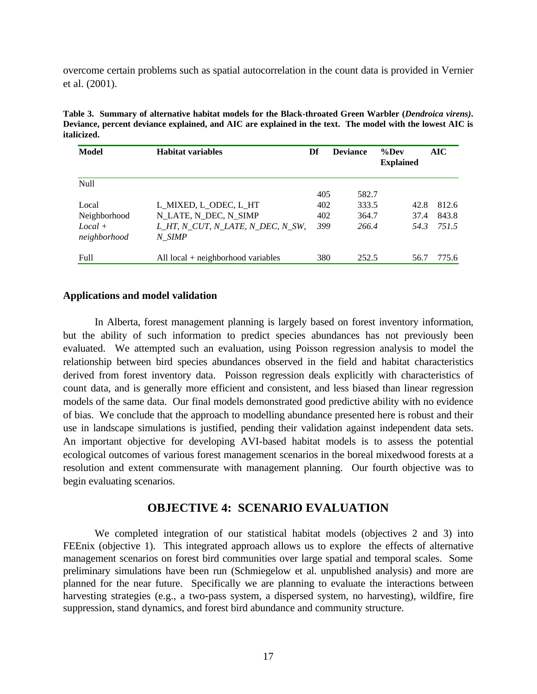overcome certain problems such as spatial autocorrelation in the count data is provided in Vernier et al. (2001).

**Table 3. Summary of alternative habitat models for the Black-throated Green Warbler (***Dendroica virens)***. Deviance, percent deviance explained, and AIC are explained in the text. The model with the lowest AIC is italicized.**

| Model                              | <b>Habitat variables</b>                                                            | Df                | <b>Deviance</b>         | $\%$ Dev<br><b>Explained</b> | AIC                     |
|------------------------------------|-------------------------------------------------------------------------------------|-------------------|-------------------------|------------------------------|-------------------------|
| <b>Null</b>                        |                                                                                     | 405               | 582.7                   |                              |                         |
| Local<br>Neighborhood<br>$Local +$ | L_MIXED, L_ODEC, L_HT<br>N LATE, N DEC, N SIMP<br>L HT, N CUT, N LATE, N DEC, N SW, | 402<br>402<br>399 | 333.5<br>364.7<br>266.4 | 42.8<br>37.4<br>54.3         | 812.6<br>843.8<br>751.5 |
| neighborhood<br><b>Full</b>        | N SIMP<br>All $local + neighborhood variables$                                      | 380               | 252.5                   | 56.7                         | 775.6                   |

#### **Applications and model validation**

In Alberta, forest management planning is largely based on forest inventory information, but the ability of such information to predict species abundances has not previously been evaluated. We attempted such an evaluation, using Poisson regression analysis to model the relationship between bird species abundances observed in the field and habitat characteristics derived from forest inventory data. Poisson regression deals explicitly with characteristics of count data, and is generally more efficient and consistent, and less biased than linear regression models of the same data. Our final models demonstrated good predictive ability with no evidence of bias. We conclude that the approach to modelling abundance presented here is robust and their use in landscape simulations is justified, pending their validation against independent data sets. An important objective for developing AVI-based habitat models is to assess the potential ecological outcomes of various forest management scenarios in the boreal mixedwood forests at a resolution and extent commensurate with management planning. Our fourth objective was to begin evaluating scenarios.

# **OBJECTIVE 4: SCENARIO EVALUATION**

We completed integration of our statistical habitat models (objectives 2 and 3) into FEEnix (objective 1). This integrated approach allows us to explore the effects of alternative management scenarios on forest bird communities over large spatial and temporal scales. Some preliminary simulations have been run (Schmiegelow et al. unpublished analysis) and more are planned for the near future. Specifically we are planning to evaluate the interactions between harvesting strategies (e.g., a two-pass system, a dispersed system, no harvesting), wildfire, fire suppression, stand dynamics, and forest bird abundance and community structure.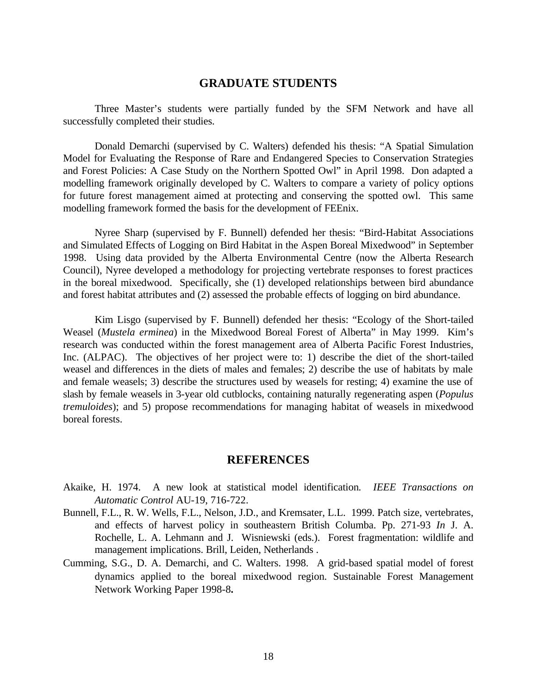# **GRADUATE STUDENTS**

Three Master's students were partially funded by the SFM Network and have all successfully completed their studies.

Donald Demarchi (supervised by C. Walters) defended his thesis: "A Spatial Simulation Model for Evaluating the Response of Rare and Endangered Species to Conservation Strategies and Forest Policies: A Case Study on the Northern Spotted Owl" in April 1998. Don adapted a modelling framework originally developed by C. Walters to compare a variety of policy options for future forest management aimed at protecting and conserving the spotted owl. This same modelling framework formed the basis for the development of FEEnix.

Nyree Sharp (supervised by F. Bunnell) defended her thesis: "Bird-Habitat Associations and Simulated Effects of Logging on Bird Habitat in the Aspen Boreal Mixedwood" in September 1998. Using data provided by the Alberta Environmental Centre (now the Alberta Research Council), Nyree developed a methodology for projecting vertebrate responses to forest practices in the boreal mixedwood. Specifically, she (1) developed relationships between bird abundance and forest habitat attributes and (2) assessed the probable effects of logging on bird abundance.

Kim Lisgo (supervised by F. Bunnell) defended her thesis: "Ecology of the Short-tailed Weasel (*Mustela erminea*) in the Mixedwood Boreal Forest of Alberta" in May 1999. Kim's research was conducted within the forest management area of Alberta Pacific Forest Industries, Inc. (ALPAC). The objectives of her project were to: 1) describe the diet of the short-tailed weasel and differences in the diets of males and females; 2) describe the use of habitats by male and female weasels; 3) describe the structures used by weasels for resting; 4) examine the use of slash by female weasels in 3-year old cutblocks, containing naturally regenerating aspen (*Populus tremuloides*); and 5) propose recommendations for managing habitat of weasels in mixedwood boreal forests.

# **REFERENCES**

- Akaike, H. 1974. A new look at statistical model identification*. IEEE Transactions on Automatic Control* AU-19, 716-722.
- Bunnell, F.L., R. W. Wells, F.L., Nelson, J.D., and Kremsater, L.L. 1999. Patch size, vertebrates, and effects of harvest policy in southeastern British Columba. Pp. 271-93 *In* J. A. Rochelle, L. A. Lehmann and J. Wisniewski (eds.). Forest fragmentation: wildlife and management implications. Brill, Leiden, Netherlands .
- Cumming, S.G., D. A. Demarchi, and C. Walters. 1998. A grid-based spatial model of forest dynamics applied to the boreal mixedwood region. Sustainable Forest Management Network Working Paper 1998-8**.**